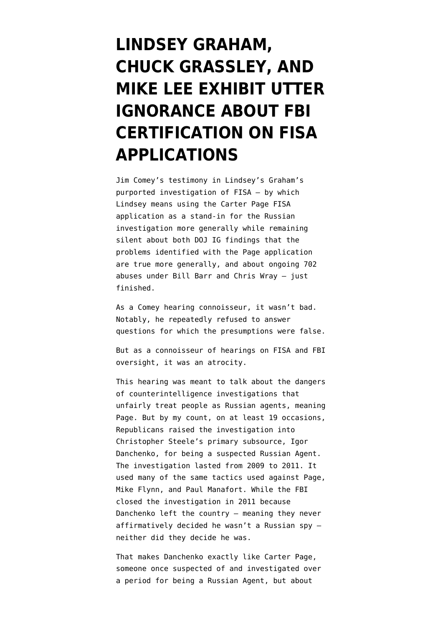## **[LINDSEY GRAHAM,](https://www.emptywheel.net/2020/09/30/lindsey-graham-chuck-grassley-and-mike-lee-exhibit-utter-ignorance-about-fbi-certification-on-fisa-applications/) [CHUCK GRASSLEY, AND](https://www.emptywheel.net/2020/09/30/lindsey-graham-chuck-grassley-and-mike-lee-exhibit-utter-ignorance-about-fbi-certification-on-fisa-applications/) [MIKE LEE EXHIBIT UTTER](https://www.emptywheel.net/2020/09/30/lindsey-graham-chuck-grassley-and-mike-lee-exhibit-utter-ignorance-about-fbi-certification-on-fisa-applications/) [IGNORANCE ABOUT FBI](https://www.emptywheel.net/2020/09/30/lindsey-graham-chuck-grassley-and-mike-lee-exhibit-utter-ignorance-about-fbi-certification-on-fisa-applications/) [CERTIFICATION ON FISA](https://www.emptywheel.net/2020/09/30/lindsey-graham-chuck-grassley-and-mike-lee-exhibit-utter-ignorance-about-fbi-certification-on-fisa-applications/) [APPLICATIONS](https://www.emptywheel.net/2020/09/30/lindsey-graham-chuck-grassley-and-mike-lee-exhibit-utter-ignorance-about-fbi-certification-on-fisa-applications/)**

Jim Comey's [testimony](https://www.c-span.org/video/?475947-1/fbi-director-james-comey-testifies-russia-investigation-part-1) in Lindsey's Graham's purported investigation of FISA — by which Lindsey means using the Carter Page FISA application as a stand-in for the Russian investigation more generally while remaining silent about both [DOJ IG findings](https://www.emptywheel.net/2020/08/07/dojs-accounting-of-its-fisa-errors-cannot-be-compared-to-the-carter-page-report/) that the problems identified with the Page application are true more generally, and about [ongoing 702](https://www.emptywheel.net/2020/09/05/the-latest-stinky-702-opinion-bodes-poorly-for-the-next-one/) [abuses](https://www.emptywheel.net/2020/09/05/the-latest-stinky-702-opinion-bodes-poorly-for-the-next-one/) under Bill Barr and Chris Wray — just finished.

As a Comey hearing connoisseur, it wasn't bad. Notably, he repeatedly refused to answer questions for which the presumptions were false.

But as a connoisseur of hearings on FISA and FBI oversight, it was an atrocity.

This hearing was meant to talk about the dangers of counterintelligence investigations that unfairly treat people as Russian agents, meaning Page. But by my count, on at least 19 occasions, Republicans raised the investigation into Christopher Steele's primary subsource, Igor Danchenko, for being a suspected Russian Agent. The [investigation](https://www.judiciary.senate.gov/imo/media/doc/AG%20Letter%20to%20Chairman%20Graham%209.24.2020.pdf) lasted from 2009 to 2011. It [used many of the same tactics](https://www.emptywheel.net/2020/09/25/the-frothy-right-finally-finds-a-counterintelligence-investigation-they-love/) used against Page, Mike Flynn, and Paul Manafort. While the FBI closed the investigation in 2011 because Danchenko left the country — meaning they never affirmatively decided he wasn't a Russian spy neither did they decide he was.

That makes Danchenko exactly like Carter Page, someone once suspected of and investigated over a period for being a Russian Agent, but about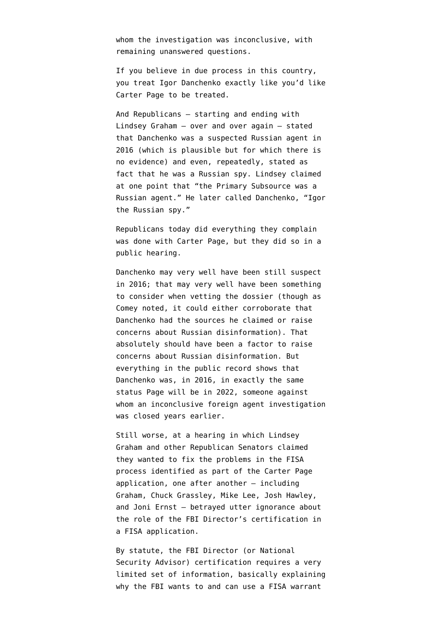whom the investigation was inconclusive, with [remaining unanswered questions.](https://www.emptywheel.net/2019/04/30/useful-but-willful-idiot-page-or/)

If you believe in due process in this country, you treat Igor Danchenko exactly like you'd like Carter Page to be treated.

And Republicans — starting and ending with Lindsey Graham — over and over again — stated that Danchenko was a suspected Russian agent in 2016 (which is plausible but for which there is no evidence) and even, repeatedly, stated as fact that he was a Russian spy. Lindsey claimed at one point that "the Primary Subsource was a Russian agent." He later called Danchenko, "Igor the Russian spy."

Republicans today did everything they complain was done with Carter Page, but they did so in a public hearing.

Danchenko may very well have been still suspect in 2016; that may very well have been something to consider when vetting the dossier (though as Comey noted, it could either corroborate that Danchenko had the sources he claimed or raise concerns about Russian disinformation). That absolutely should have been a factor to raise concerns about Russian disinformation. But everything in the public record shows that Danchenko was, in 2016, in exactly the same status Page will be in 2022, someone against whom an inconclusive foreign agent investigation was closed years earlier.

Still worse, at a hearing in which Lindsey Graham and other Republican Senators claimed they wanted to fix the problems in the FISA process identified as part of the Carter Page application, one after another — including Graham, Chuck Grassley, Mike Lee, Josh Hawley, and Joni Ernst — betrayed utter ignorance about the role of the FBI Director's certification in a FISA application.

By [statute,](https://www.law.cornell.edu/uscode/text/50/1804) the FBI Director (or National Security Advisor) certification requires a very limited set of information, basically explaining why the FBI wants to and can use a FISA warrant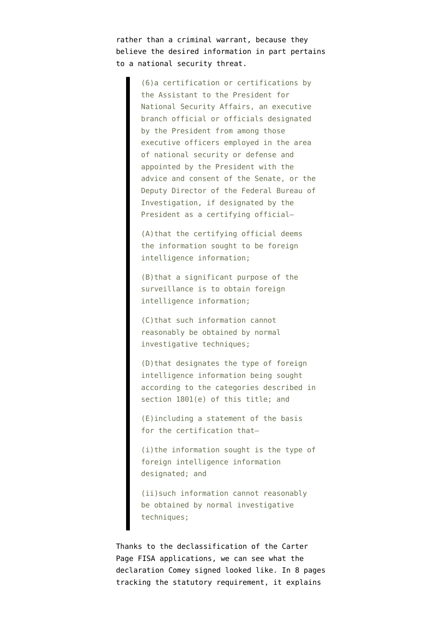rather than a criminal warrant, because they believe the desired information in part pertains to a national security threat.

> (6)a certification or certifications by the Assistant to the President for National Security Affairs, an executive branch official or officials designated by the President from among those executive officers employed in the area of national security or defense and appointed by the President with the advice and consent of the Senate, or the Deputy Director of the Federal Bureau of Investigation, if designated by the President as a certifying official–

(A)that the certifying official deems the information sought to be foreign intelligence information;

(B)that a significant purpose of the surveillance is to obtain foreign intelligence information;

(C)that such information cannot reasonably be obtained by normal investigative techniques;

(D)that designates the type of foreign intelligence information being sought according to the categories described in section 1801(e) of this title; and

(E)including a statement of the basis for the certification that—

(i)the information sought is the type of foreign intelligence information designated; and

(ii)such information cannot reasonably be obtained by normal investigative techniques;

Thanks to the declassification of the Carter Page FISA applications, we can see what the [declaration](https://beta.documentcloud.org/documents/6842432-161021-Carter-Page-FISA-Application#document/p65/a2002312) Comey signed looked like. In 8 pages tracking the statutory requirement, it explains